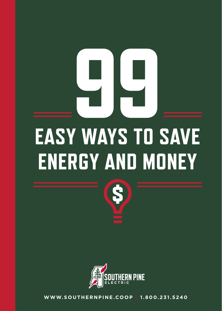# **EASY WAYS TO SAVE ENERGY AND MONEY 99**



**WWW.SOUTHERNPINE.COOP | 1.800.231.5240**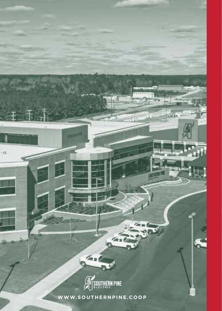

 $\sum_{i=1}^{n}$ 

 $-41$ 

 $1001$ 

 $\sqrt{a}$  in  $b$ 

 $\alpha$ 

**WWW.SOUTHERNPINE.COOP**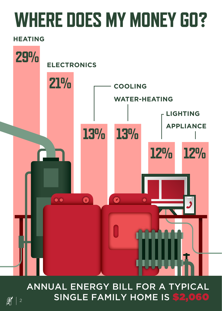### **WHERE DOES MY MONEY GO?**

#### **HEATING**



ANNUAL ENERGY BILL FOR A TYPICAL  $\left|\frac{\mathscr{R}}{\mathscr{R}}\right|$   $_{2}$  SINGLE FAMILY HOME IS <mark>\$2,060</mark>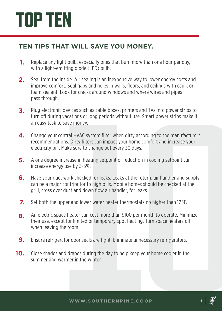### **TOP TEN**

#### **TEN TIPS THAT WILL SAVE YOU MONEY.**

- **1.** Replace any light bulb, especially ones that burn more than one hour per day, with a light-emitting diode (LED) bulb.
- **2.** Seal from the inside. Air sealing is an inexpensive way to lower energy costs and improve comfort. Seal gaps and holes in walls, floors, and ceilings with caulk or foam sealant. Look for cracks around windows and where wires and pipes pass through.
- **3.** Plug electronic devices such as cable boxes, printers and TVs into power strips to turn off during vacations or long periods without use. Smart power strips make it an easy task to save money.
- **4.** Change your central HVAC system filter when dirty according to the manufacturers recommendations. Dirty filters can impact your home comfort and increase your electricity bill. Make sure to change out every 30 days.
- **5.** A one degree increase in heating setpoint or reduction in cooling setpoint can increase energy use by 3-5%.
- **1** devices such as cable boxes, printers and TVs into power strips to<br>vacations or long periods without use. Smart power strips make it<br>save money.<br>tental HVAC system filter when dirty according to the manufacturers<br>ons. **6.** Have your duct work checked for leaks. Leaks at the return, air handler and supply can be a major contributor to high bills. Mobile homes should be checked at the grill, cross over duct and down flow air handler, for leaks.
- **7.** Set both the upper and lower water heater thermostats no higher than 125F.
- **8.** An electric space heater can cost more than \$100 per month to operate. Minimize their use, except for limited or temporary spot heating. Turn space heaters o when leaving the room.
- **9.** Ensure refrigerator door seals are tight. Eliminate unnecessary refrigerators.
- **10.** Close shades and drapes during the day to help keep your home cooler in the summer and warmer in the winter.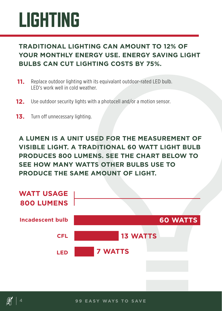### **LIGHTING**

#### **TRADITIONAL LIGHTING CAN AMOUNT TO 12% OF YOUR MONTHLY ENERGY USE. ENERGY SAVING LIGHT BULBS CAN CUT LIGHTING COSTS BY 75%.**

- **11.** Replace outdoor lighting with its equivalant outdoor-rated LED bulb. LED's work well in cold weather.
- **12.** Use outdoor security lights with a photocell and/or a motion sensor.
- **13.** Turn off unnecessary lighting.

**A LUMEN IS A UNIT USED FOR THE MEASUREMENT OF VISIBLE LIGHT. A TRADITIONAL 60 WATT LIGHT BULB PRODUCES 800 LUMENS. SEE THE CHART BELOW TO SEE HOW MANY WATTS OTHER BULBS USE TO PRODUCE THE SAME AMOUNT OF LIGHT.**

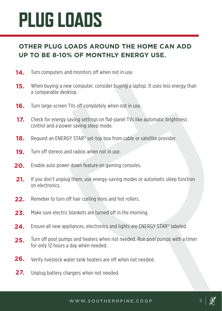### **PLUG LOADS**

#### **OTHER PLUG LOADS AROUND THE HOME CAN ADD UP TO BE 8-10% OF MONTHLY ENERGY USE.**

- **14.** Turn computers and monitors off when not in use.
- **15.** When buying a new computer, consider buying a laptop. It uses less energy than a comparable desktop.
- **16.** Turn large-screen TVs off completely when not in use.
- **17.** Check for energy saving settings on flat-panel TVs like automatic brightness control and a power saving sleep mode.
- **18.** Request an ENERGY STAR® set-top box from cable or satellite provider.
- **19.** Turn off stereos and radios when not in use.
- **20.** Enable auto power down feature on gaming consoles.
- **21.** If you don't unplug them, use energy-saving modes or automatic sleep function on electronics.
- **22.** Remeber to turn off hair curling irons and hot rollers.
- **23.** Make sure electric blankets are turned off in the morning.
- **24.** Ensure all new appliances, electronics and lights are ENERGY STAR® labeled.
- **25.** Turn off pool pumps and heaters when not needed. Run pool pumps with a timer for only 12 hours a day when needed.
- **26.** Verify livestock water tank heaters are off when not needed.
- **27.** Unplug battery chargers when not needed.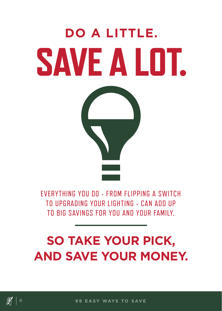#### **SO TAKE YOUR PICK, AND SAVE YOUR MONEY.**

EVERYTHING YOU DO - FROM FLIPPING A SWITCH TO UPGRADING YOUR LIGHTING - CAN ADD UP TO BIG SAVINGS FOR YOU AND YOUR FAMILY.



**DO A LITTLE.**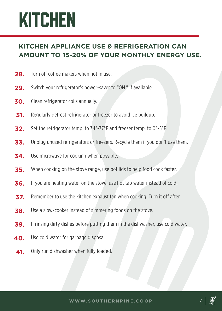### **KITCHEN**

#### **KITCHEN APPLIANCE USE & REFRIGERATION CAN AMOUNT TO 15-20% OF YOUR MONTHLY ENERGY USE.**

- **28.** Turn off coffee makers when not in use.
- **29.** Switch your refrigerator's power-saver to "ON," if available.
- **30.** Clean refrigerator coils annually.
- **31.** Regularly defrost refrigerator or freezer to avoid ice buildup.
- **32.** Set the refrigerator temp. to 34°-37°F and freezer temp. to 0°-5°F.
- **33.** Unplug unused refrigerators or freezers. Recycle them if you don't use them.
- **34.** Use microwave for cooking when possible.
- **35.** When cooking on the stove range, use pot lids to help food cook faster.
- **36.** If you are heating water on the stove, use hot tap water instead of cold.
- **37.** Remember to use the kitchen exhaust fan when cooking. Turn it off after.
- **38.** Use a slow-cooker instead of simmering foods on the stove.
- **39.** If rinsing dirty dishes before putting them in the dishwasher, use cold water.
- **40.** Use cold water for garbage disposal.
- **41.** Only run dishwasher when fully loaded.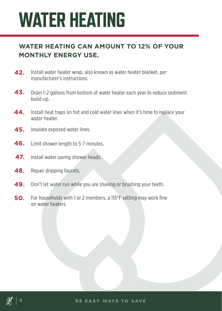### **WATER HEATING**

#### **WATER HEATING CAN AMOUNT TO 12% OF YOUR MONTHLY ENERGY USE.**

- **42.** Install water heater wrap, also known as water heater blanket, per manufacturer's instructions.
- **43.** Drain 1-2 gallons from bottom of water heater each year to reduce sediment build-up.
- **44.** Install heat traps on hot and cold water lines when it's time to replace your water heater.
- **45.** Insulate exposed water lines.
- **46.** Limit shower length to 5-7 minutes.
- **47.** Install water saving shower heads.
- **48.** Repair dripping faucets.
- **49.** Don't let water run while you are shaving or brushing your teeth.
- **50.** For households with 1 or 2 members, a 115°F setting may work fine on water heaters.

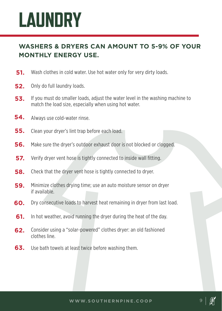### **LAUNDRY**

#### **WASHERS & DRYERS CAN AMOUNT TO 5-9% OF YOUR MONTHLY ENERGY USE.**

- **51.** Wash clothes in cold water. Use hot water only for very dirty loads.
- **52.** Only do full laundry loads.
- **53.** If you must do smaller loads, adjust the water level in the washing machine to match the load size, especially when using hot water.
- **54.**  Always use cold-water rinse.
- **55.** Clean your dryer's lint trap before each load.
- **56.** Make sure the dryer's outdoor exhaust door is not blocked or clogged.
- **57.** Verify dryer vent hose is tightly connected to inside wall fitting.
- **58.** Check that the dryer vent hose is tightly connected to dryer.
- **59.** Minimize clothes drying time; use an auto moisture sensor on dryer if available.
- **60.** Dry consecutive loads to harvest heat remaining in dryer from last load.
- **61.** In hot weather, avoid running the dryer during the heat of the day.
- **62.** Consider using a "solar-powered" clothes dryer: an old fashioned clothes line.
- **63.** Use bath towels at least twice before washing them.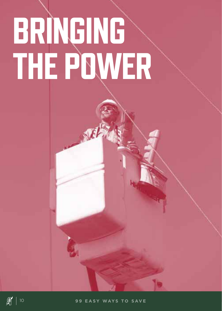## **BRINGING THE POWER**

Лŀ



**图** 10 99 EASY WAYS TO SAVE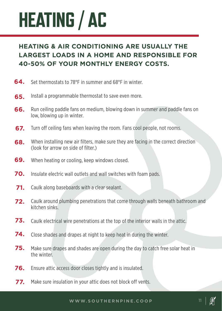### **HEATING / AC**

#### **HEATING & AIR CONDITIONING ARE USUALLY THE LARGEST LOADS IN A HOME AND RESPONSIBLE FOR 40-50% OF YOUR MONTHLY ENERGY COSTS.**

- **64.** Set thermostats to 78°F in summer and 68°F in winter.
- **65.** Install a programmable thermostat to save even more.
- **66.** Run ceiling paddle fans on medium, blowing down in summer and paddle fans on low, blowing up in winter.
- **67.** Turn off ceiling fans when leaving the room. Fans cool people, not rooms.
- **68.** When installing new air filters, make sure they are facing in the correct direction (look for arrow on side of filter.)
- **69.** When heating or cooling, keep windows closed.
- **70.** Insulate electric wall outlets and wall switches with foam pads.
- **71.** Caulk along baseboards with a clear sealant.
- **72.** Caulk around plumbing penetrations that come through walls beneath bathroom and kitchen sinks.
- **73.** Caulk electrical wire penetrations at the top of the interior walls in the attic.
- **74.** Close shades and drapes at night to keep heat in during the winter.
- **75.** Make sure drapes and shades are open during the day to catch free solar heat in the winter.
- **76.** Ensure attic access door closes tightly and is insulated.
- **77.** Make sure insulation in your attic does not block off vents.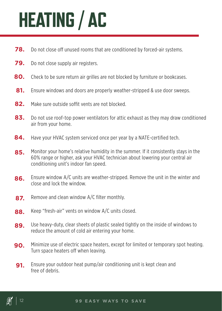### **HEATING / AC**

- **78.** Do not close off unused rooms that are conditioned by forced-air systems.
- **79.** Do not close supply air registers.
- **80.** Check to be sure return air grilles are not blocked by furniture or bookcases.
- **81.** Ensure windows and doors are properly weather-stripped & use door sweeps.
- **82.** Make sure outside soffit vents are not blocked.
- **83.** Do not use roof-top power ventilators for attic exhaust as they may draw conditioned air from your home.
- **84.** Have your HVAC system serviced once per year by a NATE-certified tech.
- **85.** Monitor your home's relative humidity in the summer. If it consistently stays in the 60% range or higher, ask your HVAC technician about lowering your central air conditioning unit's indoor fan speed.
- **86.** Ensure window A/C units are weather-stripped. Remove the unit in the winter and close and lock the window.
- **87.** Remove and clean window A/C filter monthly.
- **88.** Keep "fresh-air" vents on window A/C units closed.
- **89.** Use heavy-duty, clear sheets of plastic sealed tightly on the inside of windows to reduce the amount of cold air entering your home.
- **90.** Minimize use of electric space heaters, except for limited or temporary spot heating. Turn space heaters off when leaving.
- **91.** Ensure your outdoor heat pump/air conditioning unit is kept clean and free of debris.

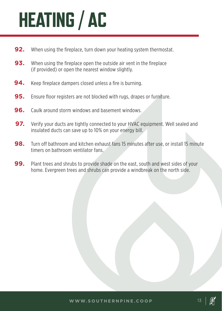### **HEATING / AC**

- **92.** When using the fireplace, turn down your heating system thermostat.
- **93.**  When using the fireplace open the outside air vent in the fireplace (if provided) or open the nearest window slightly.
- **94.** Keep fireplace dampers closed unless a fire is burning.
- **95.** Ensure floor registers are not blocked with rugs, drapes or furniture.
- **96.** Caulk around storm windows and basement windows.
- **97.** Verify your ducts are tightly connected to your HVAC equipment. Well sealed and insulated ducts can save up to 10% on your energy bill.
- **98.** Turn off bathroom and kitchen exhaust fans 15 minutes after use, or install 15 minute timers on bathroom ventilator fans.
- **99.** Plant trees and shrubs to provide shade on the east, south and west sides of your home. Evergreen trees and shrubs can provide a windbreak on the north side.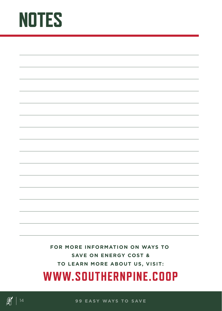### **NOTES**

**FOR MORE INFORMATION ON WAYS TO SAVE ON ENERGY COST & TO LEARN MORE ABOUT US, VISIT:**

#### **WWW.SOUTHERNPINE.COOP**



**图** | 14 | 99 EASY WAYS TO SAVE